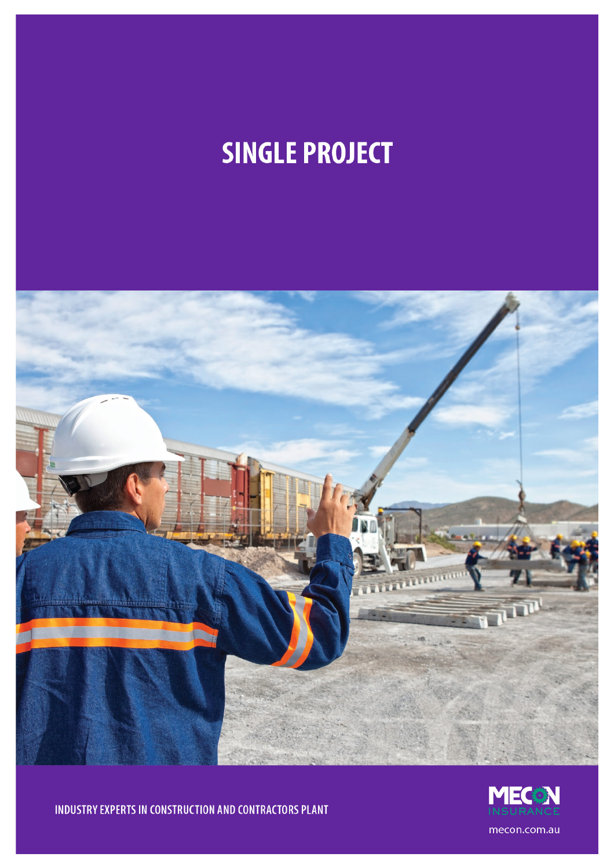# **SINGLE PROJECT**



INDUSTRY EXPERTS IN CONSTRUCTION AND CONTRACTORS PLANT

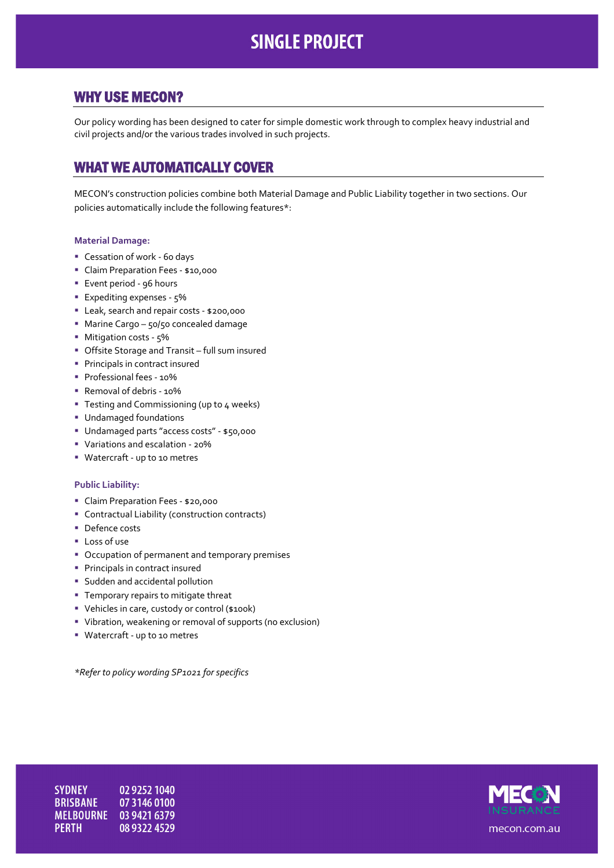# **SINGLE PROJECT**

## WHY USE MECON?

Our policy wording has been designed to cater for simple domestic work through to complex heavy industrial and civil projects and/or the various trades involved in such projects.

# WHAT WE AUTOMATICALLY COVER

MECON's construction policies combine both Material Damage and Public Liability together in two sections. Our policies automatically include the following features\*:

#### **Material Damage:**

- Cessation of work 60 days
- Claim Preparation Fees \$10,000
- **Event period 96 hours**
- **Expediting expenses 5%**
- Leak, search and repair costs \$200,000
- **Marine Cargo 50/50 concealed damage**
- **Mitigation costs 5%**
- Offsite Storage and Transit full sum insured
- **Principals in contract insured**
- Professional fees 10%
- Removal of debris 10%
- **Testing and Commissioning (up to 4 weeks)**
- Undamaged foundations
- Undamaged parts "access costs" \$50,000
- Variations and escalation 20%
- Watercraft up to 10 metres

#### **Public Liability:**

- Claim Preparation Fees \$20,000
- Contractual Liability (construction contracts)
- Defence costs
- **Loss of use**
- **Occupation of permanent and temporary premises**
- **Principals in contract insured**
- **Sudden and accidental pollution**
- **Temporary repairs to mitigate threat**
- Vehicles in care, custody or control (\$100k)
- Vibration, weakening or removal of supports (no exclusion)
- Watercraft up to 10 metres

*\*Refer to policy wording SP1021 for specifics*

**SYDNEY** 02 9252 1040 **BRISBANE** 07 3146 0100 MELBOURNE 03 9421 6379 **PERTH** 08 9322 4529